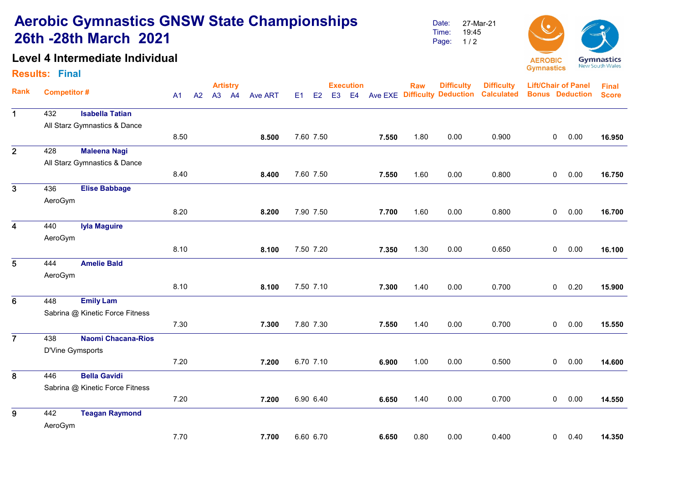# Aerobic Gymnastics GNSW State Championships 26th -28th March 2021

### Level 4 Intermediate Individual

#### Results: Final

Date: Time: Page: 27-Mar-21 19:45  $1/2$ 



|                         | <b>Competitor#</b> |                                 | <b>Artistry</b> |    |  |       |                | <b>Execution</b> |           |                |                |       | <b>Difficulty</b><br><b>Raw</b> |                                     | <b>Difficulty</b> | <b>Lift/Chair of Panel</b> |      | <b>Final</b> |
|-------------------------|--------------------|---------------------------------|-----------------|----|--|-------|----------------|------------------|-----------|----------------|----------------|-------|---------------------------------|-------------------------------------|-------------------|----------------------------|------|--------------|
| <b>Rank</b>             |                    |                                 | A <sub>1</sub>  | A2 |  | A3 A4 | <b>Ave ART</b> | E1               | E2        | E <sub>3</sub> | E <sub>4</sub> |       |                                 | <b>Ave EXE Difficulty Deduction</b> | <b>Calculated</b> | <b>Bonus Deduction</b>     |      | <b>Score</b> |
| $\mathbf 1$             | 432                | <b>Isabella Tatian</b>          |                 |    |  |       |                |                  |           |                |                |       |                                 |                                     |                   |                            |      |              |
|                         |                    | All Starz Gymnastics & Dance    |                 |    |  |       |                |                  |           |                |                |       |                                 |                                     |                   |                            |      |              |
|                         |                    |                                 | 8.50            |    |  |       | 8.500          |                  | 7.60 7.50 |                |                | 7.550 | 1.80                            | 0.00                                | 0.900             | $\mathbf 0$                | 0.00 | 16.950       |
| $\overline{2}$          | 428                | <b>Maleena Nagi</b>             |                 |    |  |       |                |                  |           |                |                |       |                                 |                                     |                   |                            |      |              |
|                         |                    | All Starz Gymnastics & Dance    |                 |    |  |       |                |                  |           |                |                |       |                                 |                                     |                   |                            |      |              |
|                         |                    |                                 | 8.40            |    |  |       | 8.400          |                  | 7.60 7.50 |                |                | 7.550 | 1.60                            | 0.00                                | 0.800             | 0                          | 0.00 | 16.750       |
| $\overline{3}$          | 436                | <b>Elise Babbage</b>            |                 |    |  |       |                |                  |           |                |                |       |                                 |                                     |                   |                            |      |              |
|                         | AeroGym            |                                 |                 |    |  |       |                |                  |           |                |                |       |                                 |                                     |                   |                            |      |              |
|                         |                    |                                 | 8.20            |    |  |       | 8.200          |                  | 7.90 7.50 |                |                | 7.700 | 1.60                            | 0.00                                | 0.800             | 0                          | 0.00 | 16.700       |
| $\overline{\mathbf{4}}$ | 440                | <b>Iyla Maguire</b>             |                 |    |  |       |                |                  |           |                |                |       |                                 |                                     |                   |                            |      |              |
|                         | AeroGym            |                                 |                 |    |  |       |                |                  |           |                |                |       |                                 |                                     |                   |                            |      |              |
|                         |                    |                                 | 8.10            |    |  |       | 8.100          |                  | 7.50 7.20 |                |                | 7.350 | 1.30                            | 0.00                                | 0.650             | 0                          | 0.00 | 16.100       |
| 5                       | 444                | <b>Amelie Bald</b>              |                 |    |  |       |                |                  |           |                |                |       |                                 |                                     |                   |                            |      |              |
|                         | AeroGym            |                                 |                 |    |  |       |                |                  |           |                |                |       |                                 |                                     |                   |                            |      |              |
|                         |                    |                                 | 8.10            |    |  |       | 8.100          |                  | 7.50 7.10 |                |                | 7.300 | 1.40                            | 0.00                                | 0.700             | 0                          | 0.20 | 15.900       |
| 6                       | 448                | <b>Emily Lam</b>                |                 |    |  |       |                |                  |           |                |                |       |                                 |                                     |                   |                            |      |              |
|                         |                    | Sabrina @ Kinetic Force Fitness |                 |    |  |       |                |                  |           |                |                |       |                                 |                                     |                   |                            |      |              |
|                         |                    |                                 | 7.30            |    |  |       | 7.300          |                  | 7.80 7.30 |                |                | 7.550 | 1.40                            | 0.00                                | 0.700             | $\mathbf 0$                | 0.00 | 15.550       |
| $\overline{7}$          | 438                | <b>Naomi Chacana-Rios</b>       |                 |    |  |       |                |                  |           |                |                |       |                                 |                                     |                   |                            |      |              |
|                         | D'Vine Gymsports   |                                 |                 |    |  |       |                |                  |           |                |                |       |                                 |                                     |                   |                            |      |              |
|                         |                    |                                 | 7.20            |    |  |       | 7.200          |                  | 6.70 7.10 |                |                | 6.900 | 1.00                            | 0.00                                | 0.500             | $\mathbf 0$                | 0.00 | 14.600       |
| 8                       | 446                | <b>Bella Gavidi</b>             |                 |    |  |       |                |                  |           |                |                |       |                                 |                                     |                   |                            |      |              |
|                         |                    | Sabrina @ Kinetic Force Fitness |                 |    |  |       |                |                  |           |                |                |       |                                 |                                     |                   |                            |      |              |
|                         |                    |                                 | 7.20            |    |  |       | 7.200          |                  | 6.90 6.40 |                |                | 6.650 | 1.40                            | 0.00                                | 0.700             | 0                          | 0.00 | 14.550       |
| 9                       | 442                | <b>Teagan Raymond</b>           |                 |    |  |       |                |                  |           |                |                |       |                                 |                                     |                   |                            |      |              |
|                         | AeroGym            |                                 |                 |    |  |       |                |                  |           |                |                |       |                                 |                                     |                   |                            |      |              |
|                         |                    |                                 | 7.70            |    |  |       | 7.700          |                  | 6.60 6.70 |                |                | 6.650 | 0.80                            | 0.00                                | 0.400             | 0                          | 0.40 | 14.350       |